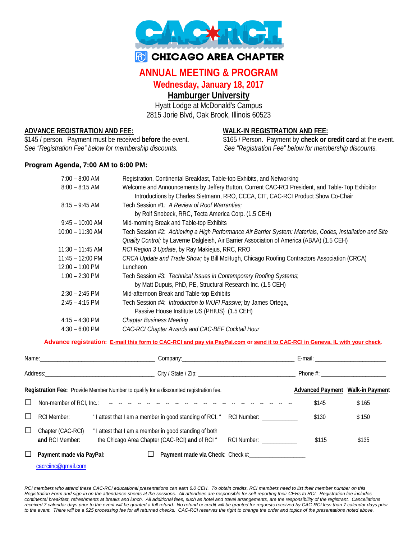

# **R** CHICAGO AREA CHAPTER

## **ANNUAL MEETING & PROGRAM**

## **Wednesday, January 18, 2017**

## **Hamburger University**

Hyatt Lodge at McDonald's Campus 2815 Jorie Blvd, Oak Brook, Illinois 60523

**ADVANCE REGISTRATION AND FEE: WALK-IN REGISTRATION AND FEE:** *See "Registration Fee" below for membership discounts. See "Registration Fee" below for membership discounts.*

\$165 / Person. Payment by check or credit card at the event.

### **Program Agenda, 7:00 AM to 6:00 PM:**

| $7:00 - 8:00$ AM         | Registration, Continental Breakfast, Table-top Exhibits, and Networking                                   |
|--------------------------|-----------------------------------------------------------------------------------------------------------|
| $8:00 - 8:15$ AM         | Welcome and Announcements by Jeffery Button, Current CAC-RCI President, and Table-Top Exhibitor           |
|                          | Introductions by Charles Sietmann, RRO, CCCA, CIT, CAC-RCI Product Show Co-Chair                          |
| $8:15 - 9:45$ AM         | Tech Session #1: A Review of Roof Warranties;                                                             |
|                          | by Rolf Snobeck, RRC, Tecta America Corp. (1.5 CEH)                                                       |
| $9:45 - 10:00$ AM        | Mid-morning Break and Table-top Exhibits                                                                  |
| $10:00 - 11:30$ AM       | Tech Session #2: Achieving a High Performance Air Barrier System: Materials, Codes, Installation and Site |
|                          | Quality Control; by Laverne Dalgleish, Air Barrier Association of America (ABAA) (1.5 CEH)                |
| $11:30 - 11:45$ AM       | RCI Region 3 Update, by Ray Makiejus, RRC, RRO                                                            |
| $11:45 - 12:00$ PM       | CRCA Update and Trade Show; by Bill McHugh, Chicago Roofing Contractors Association (CRCA)                |
| $12:00 - 1:00$ PM        | Luncheon                                                                                                  |
| $1:00 - 2:30$ PM         | Tech Session #3: Technical Issues in Contemporary Roofing Systems;                                        |
|                          | by Matt Dupuis, PhD, PE, Structural Research Inc. (1.5 CEH)                                               |
| $2:30 - 2:45$ PM         | Mid-afternoon Break and Table-top Exhibits                                                                |
| $2:45 - 4:15$ PM         | Tech Session #4: Introduction to WUFI Passive; by James Ortega,                                           |
|                          | Passive House Institute US (PHIUS) (1.5 CEH)                                                              |
| $4:15 - 4:30 \text{ PM}$ | <b>Chapter Business Meeting</b>                                                                           |
| $4:30 - 6:00$ PM         | CAC-RCI Chapter Awards and CAC-BEF Cocktail Hour                                                          |

#### **Advance registration: E-mail this form to CAC-RCI and pay via PayPal.com or send it to CAC-RCI in Geneva, IL with your check**.

|         |                                      | <b>Registration Fee:</b> Provide Member Number to qualify for a discounted registration fee.                                                                                                                                   | Advanced Payment Walk-in Payment |       |
|---------|--------------------------------------|--------------------------------------------------------------------------------------------------------------------------------------------------------------------------------------------------------------------------------|----------------------------------|-------|
| $\perp$ |                                      | Non-member of RCI, Inc.: The contract of the contract of the contract of the contract of the contract of the contract of the contract of the contract of the contract of the contract of the contract of the contract of the c | \$145                            | \$165 |
| ⊔       | <b>RCI Member:</b>                   | " I attest that I am a member in good standing of RCI. "<br>RCI Number: ___________                                                                                                                                            | \$130                            | \$150 |
| $\Box$  | Chapter (CAC-RCI)<br>and RCI Member: | "I attest that I am a member in good standing of both<br>the Chicago Area Chapter (CAC-RCI) and of RCI "<br>RCI Number: ____________                                                                                           | \$115                            | \$135 |
|         | Payment made via PayPal:             |                                                                                                                                                                                                                                |                                  |       |

*RCI members who attend these CAC-RCI educational presentations can earn 6.0 CEH. To obtain credits, RCI members need to list their member number on this Registration Form and sign-in on the attendance sheets at the sessions. All attendees are responsible for self-reporting their CEHs to RCI. Registration fee includes continental breakfast, refreshments at breaks and lunch. All additional fees, such as hotel and travel arrangements, are the responsibility of the registrant. Cancellations*  received 7 calendar days prior to the event will be granted a full refund. No refund or credit will be granted for requests received by CAC-RCI less than 7 calendar days prior *to the event. There will be a \$25 processing fee for all returned checks. CAC-RCI reserves the right to change the order and topics of the presentations noted above.*

[cacrciinc@gmail.com](mailto:cacrciinc@gmail.com)